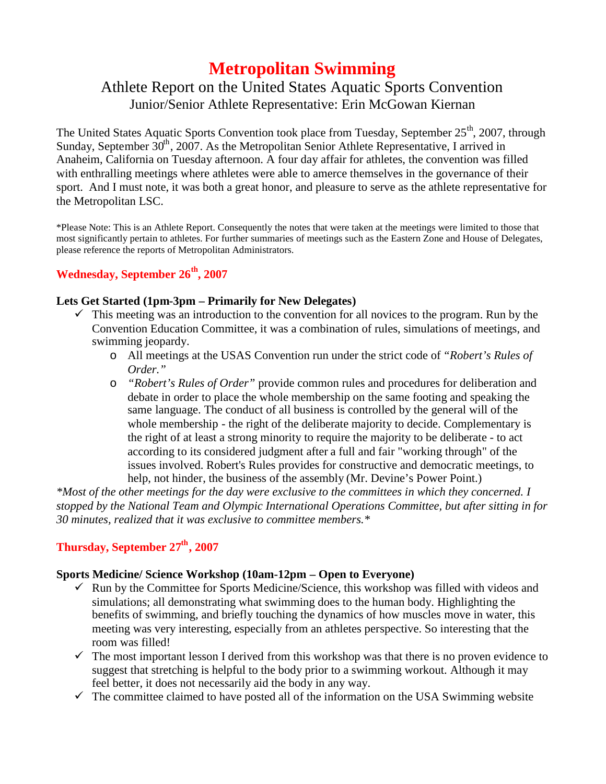# **Metropolitan Swimming**

## Athlete Report on the United States Aquatic Sports Convention Junior/Senior Athlete Representative: Erin McGowan Kiernan

The United States Aquatic Sports Convention took place from Tuesday, September 25<sup>th</sup>, 2007, through Sunday, September  $30<sup>th</sup>$ , 2007. As the Metropolitan Senior Athlete Representative, I arrived in Anaheim, California on Tuesday afternoon. A four day affair for athletes, the convention was filled with enthralling meetings where athletes were able to amerce themselves in the governance of their sport. And I must note, it was both a great honor, and pleasure to serve as the athlete representative for the Metropolitan LSC.

\*Please Note: This is an Athlete Report. Consequently the notes that were taken at the meetings were limited to those that most significantly pertain to athletes. For further summaries of meetings such as the Eastern Zone and House of Delegates, please reference the reports of Metropolitan Administrators.

### **Wednesday, September 26th, 2007**

### **Lets Get Started (1pm-3pm – Primarily for New Delegates)**

- $\checkmark$  This meeting was an introduction to the convention for all novices to the program. Run by the Convention Education Committee, it was a combination of rules, simulations of meetings, and swimming jeopardy.
	- o All meetings at the USAS Convention run under the strict code of *"Robert's Rules of Order."*
	- o *"Robert's Rules of Order"* provide common rules and procedures for deliberation and debate in order to place the whole membership on the same footing and speaking the same language. The conduct of all business is controlled by the general will of the whole membership - the right of the deliberate majority to decide. Complementary is the right of at least a strong minority to require the majority to be deliberate - to act according to its considered judgment after a full and fair "working through" of the issues involved. Robert's Rules provides for constructive and democratic meetings, to help, not hinder, the business of the assembly (Mr. Devine's Power Point.)

*\*Most of the other meetings for the day were exclusive to the committees in which they concerned. I stopped by the National Team and Olympic International Operations Committee, but after sitting in for 30 minutes, realized that it was exclusive to committee members.\**

### **Thursday, September 27th, 2007**

### **Sports Medicine/ Science Workshop (10am-12pm – Open to Everyone)**

- $\checkmark$  Run by the Committee for Sports Medicine/Science, this workshop was filled with videos and simulations; all demonstrating what swimming does to the human body. Highlighting the benefits of swimming, and briefly touching the dynamics of how muscles move in water, this meeting was very interesting, especially from an athletes perspective. So interesting that the room was filled!
- $\checkmark$  The most important lesson I derived from this workshop was that there is no proven evidence to suggest that stretching is helpful to the body prior to a swimming workout. Although it may feel better, it does not necessarily aid the body in any way.
- $\checkmark$  The committee claimed to have posted all of the information on the USA Swimming website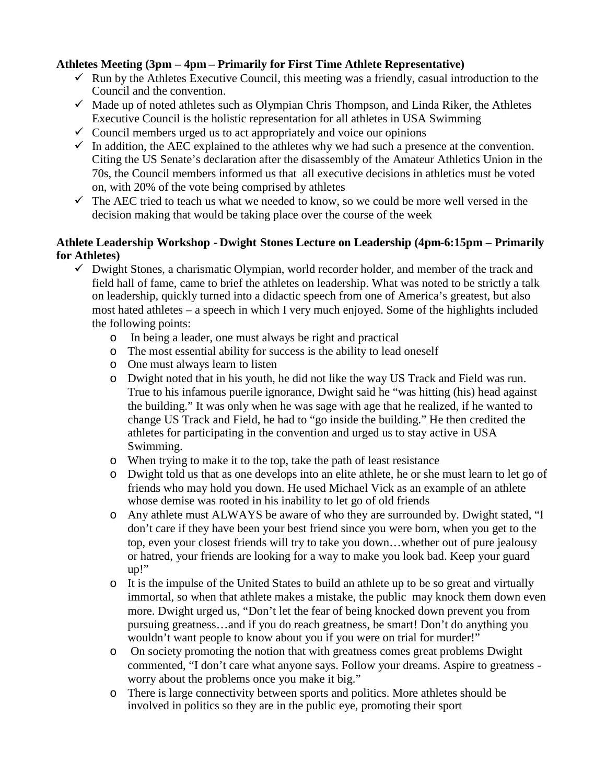### **Athletes Meeting (3pm – 4pm – Primarily for First Time Athlete Representative)**

- $\checkmark$  Run by the Athletes Executive Council, this meeting was a friendly, casual introduction to the Council and the convention.
- $\checkmark$  Made up of noted athletes such as Olympian Chris Thompson, and Linda Riker, the Athletes Executive Council is the holistic representation for all athletes in USA Swimming
- $\checkmark$  Council members urged us to act appropriately and voice our opinions
- $\checkmark$  In addition, the AEC explained to the athletes why we had such a presence at the convention. Citing the US Senate's declaration after the disassembly of the Amateur Athletics Union in the 70s, the Council members informed us that all executive decisions in athletics must be voted on, with 20% of the vote being comprised by athletes
- $\checkmark$  The AEC tried to teach us what we needed to know, so we could be more well versed in the decision making that would be taking place over the course of the week

### **Athlete Leadership Workshop - Dwight Stones Lecture on Leadership (4pm-6:15pm – Primarily for Athletes)**

- $\checkmark$  Dwight Stones, a charismatic Olympian, world recorder holder, and member of the track and field hall of fame, came to brief the athletes on leadership. What was noted to be strictly a talk on leadership, quickly turned into a didactic speech from one of America's greatest, but also most hated athletes – a speech in which I very much enjoyed. Some of the highlights included the following points:
	- o In being a leader, one must always be right and practical
	- o The most essential ability for success is the ability to lead oneself
	- o One must always learn to listen
	- o Dwight noted that in his youth, he did not like the way US Track and Field was run. True to his infamous puerile ignorance, Dwight said he "was hitting (his) head against the building." It was only when he was sage with age that he realized, if he wanted to change US Track and Field, he had to "go inside the building." He then credited the athletes for participating in the convention and urged us to stay active in USA Swimming.
	- o When trying to make it to the top, take the path of least resistance
	- o Dwight told us that as one develops into an elite athlete, he or she must learn to let go of friends who may hold you down. He used Michael Vick as an example of an athlete whose demise was rooted in his inability to let go of old friends
	- o Any athlete must ALWAYS be aware of who they are surrounded by. Dwight stated, "I don't care if they have been your best friend since you were born, when you get to the top, even your closest friends will try to take you down…whether out of pure jealousy or hatred, your friends are looking for a way to make you look bad. Keep your guard up!"
	- o It is the impulse of the United States to build an athlete up to be so great and virtually immortal, so when that athlete makes a mistake, the public may knock them down even more. Dwight urged us, "Don't let the fear of being knocked down prevent you from pursuing greatness…and if you do reach greatness, be smart! Don't do anything you wouldn't want people to know about you if you were on trial for murder!"
	- o On society promoting the notion that with greatness comes great problems Dwight commented, "I don't care what anyone says. Follow your dreams. Aspire to greatness worry about the problems once you make it big."
	- o There is large connectivity between sports and politics. More athletes should be involved in politics so they are in the public eye, promoting their sport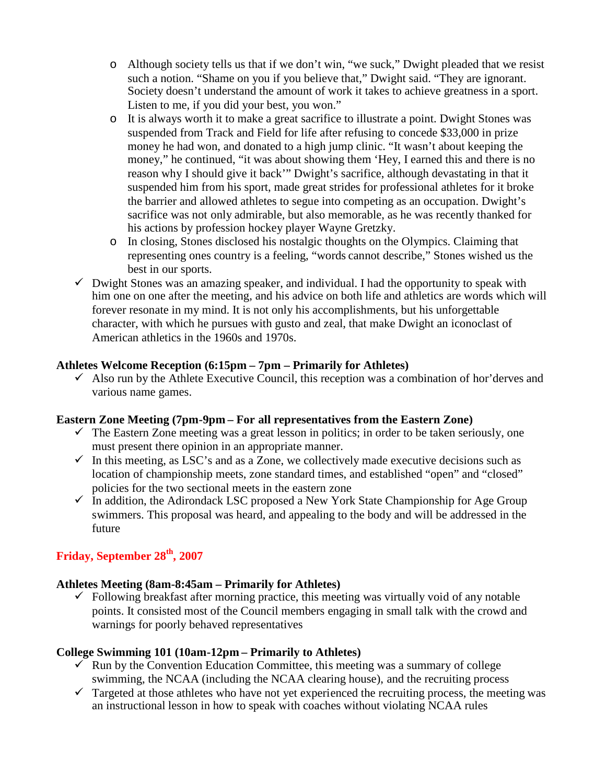- o Although society tells us that if we don't win, "we suck," Dwight pleaded that we resist such a notion. "Shame on you if you believe that," Dwight said. "They are ignorant. Society doesn't understand the amount of work it takes to achieve greatness in a sport. Listen to me, if you did your best, you won."
- o It is always worth it to make a great sacrifice to illustrate a point. Dwight Stones was suspended from Track and Field for life after refusing to concede \$33,000 in prize money he had won, and donated to a high jump clinic. "It wasn't about keeping the money," he continued, "it was about showing them 'Hey, I earned this and there is no reason why I should give it back'" Dwight's sacrifice, although devastating in that it suspended him from his sport, made great strides for professional athletes for it broke the barrier and allowed athletes to segue into competing as an occupation. Dwight's sacrifice was not only admirable, but also memorable, as he was recently thanked for his actions by profession hockey player Wayne Gretzky.
- o In closing, Stones disclosed his nostalgic thoughts on the Olympics. Claiming that representing ones country is a feeling, "words cannot describe," Stones wished us the best in our sports.
- $\checkmark$  Dwight Stones was an amazing speaker, and individual. I had the opportunity to speak with him one on one after the meeting, and his advice on both life and athletics are words which will forever resonate in my mind. It is not only his accomplishments, but his unforgettable character, with which he pursues with gusto and zeal, that make Dwight an iconoclast of American athletics in the 1960s and 1970s.

### **Athletes Welcome Reception (6:15pm – 7pm – Primarily for Athletes)**

 $\checkmark$  Also run by the Athlete Executive Council, this reception was a combination of hor'derves and various name games.

### **Eastern Zone Meeting (7pm-9pm – For all representatives from the Eastern Zone)**

- $\checkmark$  The Eastern Zone meeting was a great lesson in politics; in order to be taken seriously, one must present there opinion in an appropriate manner.
- $\checkmark$  In this meeting, as LSC's and as a Zone, we collectively made executive decisions such as location of championship meets, zone standard times, and established "open" and "closed" policies for the two sectional meets in the eastern zone
- $\checkmark$  In addition, the Adirondack LSC proposed a New York State Championship for Age Group swimmers. This proposal was heard, and appealing to the body and will be addressed in the future

### **Friday, September 28th, 2007**

### **Athletes Meeting (8am-8:45am – Primarily for Athletes)**

 $\checkmark$  Following breakfast after morning practice, this meeting was virtually void of any notable points. It consisted most of the Council members engaging in small talk with the crowd and warnings for poorly behaved representatives

### **College Swimming 101 (10am-12pm – Primarily to Athletes)**

- $\checkmark$  Run by the Convention Education Committee, this meeting was a summary of college swimming, the NCAA (including the NCAA clearing house), and the recruiting process
- $\checkmark$  Targeted at those athletes who have not yet experienced the recruiting process, the meeting was an instructional lesson in how to speak with coaches without violating NCAA rules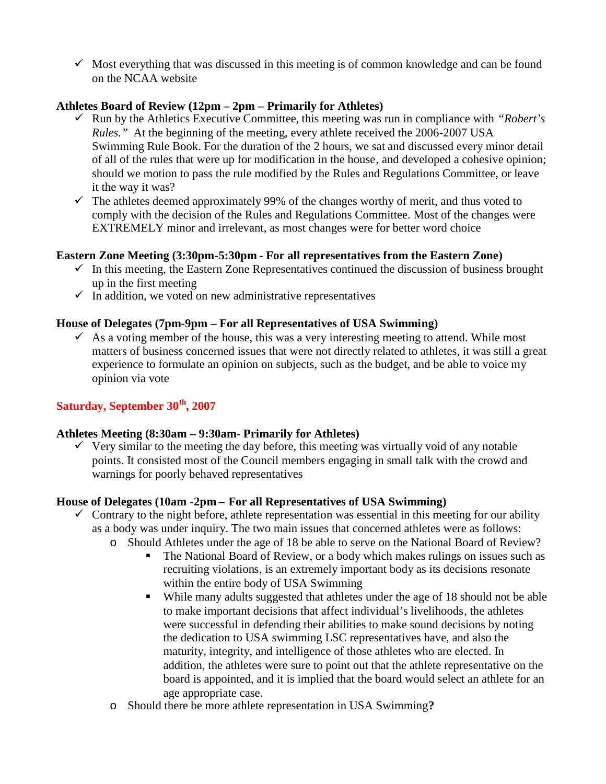$\checkmark$  Most everything that was discussed in this meeting is of common knowledge and can be found on the NCAA website

### **Athletes Board of Review (12pm – 2pm – Primarily for Athletes)**

- Run by the Athletics Executive Committee, this meeting was run in compliance with *"Robert's Rules.*" At the beginning of the meeting, every athlete received the 2006-2007 USA Swimming Rule Book. For the duration of the 2 hours, we sat and discussed every minor detail of all of the rules that were up for modification in the house, and developed a cohesive opinion; should we motion to pass the rule modified by the Rules and Regulations Committee, or leave it the way it was?
- $\checkmark$  The athletes deemed approximately 99% of the changes worthy of merit, and thus voted to comply with the decision of the Rules and Regulations Committee. Most of the changes were EXTREMELY minor and irrelevant, as most changes were for better word choice

### **Eastern Zone Meeting (3:30pm-5:30pm - For all representatives from the Eastern Zone)**

- $\checkmark$  In this meeting, the Eastern Zone Representatives continued the discussion of business brought up in the first meeting
- $\checkmark$  In addition, we voted on new administrative representatives

### **House of Delegates (7pm-9pm – For all Representatives of USA Swimming)**

 $\checkmark$  As a voting member of the house, this was a very interesting meeting to attend. While most matters of business concerned issues that were not directly related to athletes, it was still a great experience to formulate an opinion on subjects, such as the budget, and be able to voice my opinion via vote

### **Saturday, September 30th, 2007**

### **Athletes Meeting (8:30am – 9:30am- Primarily for Athletes)**

 $\checkmark$  Very similar to the meeting the day before, this meeting was virtually void of any notable points. It consisted most of the Council members engaging in small talk with the crowd and warnings for poorly behaved representatives

### **House of Delegates (10am -2pm – For all Representatives of USA Swimming)**

- $\checkmark$  Contrary to the night before, athlete representation was essential in this meeting for our ability as a body was under inquiry. The two main issues that concerned athletes were as follows:
	- o Should Athletes under the age of 18 be able to serve on the National Board of Review?
		- The National Board of Review, or a body which makes rulings on issues such as recruiting violations, is an extremely important body as its decisions resonate within the entire body of USA Swimming
		- While many adults suggested that athletes under the age of 18 should not be able to make important decisions that affect individual's livelihoods, the athletes were successful in defending their abilities to make sound decisions by noting the dedication to USA swimming LSC representatives have, and also the maturity, integrity, and intelligence of those athletes who are elected. In addition, the athletes were sure to point out that the athlete representative on the board is appointed, and it is implied that the board would select an athlete for an age appropriate case.
	- o Should there be more athlete representation in USA Swimming**?**